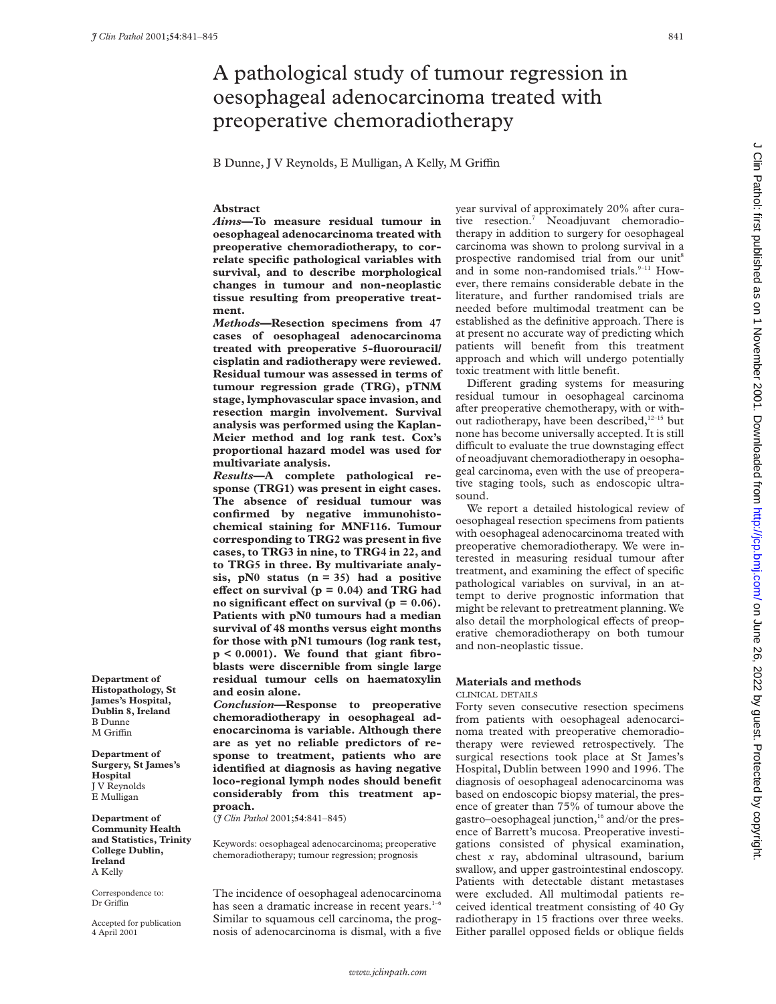# A pathological study of tumour regression in oesophageal adenocarcinoma treated with preoperative chemoradiotherapy

B Dunne, J V Reynolds, E Mulligan, A Kelly, M Griffin

# **Abstract**

*Aims***—To measure residual tumour in oesophageal adenocarcinoma treated with preoperative chemoradiotherapy, to correlate specific pathological variables with survival, and to describe morphological changes in tumour and non-neoplastic tissue resulting from preoperative treatment.**

*Methods***—Resection specimens from 47 cases of oesophageal adenocarcinoma treated with preoperative 5-fluorouracil/ cisplatin and radiotherapy were reviewed. Residual tumour was assessed in terms of tumour regression grade (TRG), pTNM stage, lymphovascular space invasion, and resection margin involvement. Survival analysis was performed using the Kaplan-Meier method and log rank test. Cox's proportional hazard model was used for multivariate analysis.**

*Results***—A complete pathological response (TRG1) was present in eight cases. The absence of residual tumour was confirmed by negative immunohistochemical staining for MNF116. Tumour corresponding to TRG2 was present in five cases, to TRG3 in nine, to TRG4 in 22, and to TRG5 in three. By multivariate analysis, pN0 status (n = 35) had a positive effect on survival (** $p = 0.04$ **) and TRG had** no significant effect on survival ( $p = 0.06$ ). **Patients with pN0 tumours had a median survival of 48 months versus eight months for those with pN1 tumours (log rank test, p < 0.0001). We found that giant fibroblasts were discernible from single large residual tumour cells on haematoxylin and eosin alone.**

*Conclusion***—Response to preoperative chemoradiotherapy in oesophageal adenocarcinoma is variable. Although there are as yet no reliable predictors of response to treatment, patients who are identified at diagnosis as having negative loco-regional lymph nodes should benefit considerably from this treatment approach.**

(*J Clin Pathol* 2001;**54**:841–845)

Keywords: oesophageal adenocarcinoma; preoperative chemoradiotherapy; tumour regression; prognosis

The incidence of oesophageal adenocarcinoma has seen a dramatic increase in recent years.<sup>1-6</sup> Similar to squamous cell carcinoma, the prognosis of adenocarcinoma is dismal, with a five year survival of approximately 20% after curative resection.7 Neoadjuvant chemoradiotherapy in addition to surgery for oesophageal carcinoma was shown to prolong survival in a prospective randomised trial from our unit<sup>8</sup> and in some non-randomised trials.<sup>9-11</sup> However, there remains considerable debate in the literature, and further randomised trials are needed before multimodal treatment can be established as the definitive approach. There is at present no accurate way of predicting which patients will benefit from this treatment approach and which will undergo potentially toxic treatment with little benefit.

Different grading systems for measuring residual tumour in oesophageal carcinoma after preoperative chemotherapy, with or without radiotherapy, have been described, $12-15$  but none has become universally accepted. It is still difficult to evaluate the true downstaging effect of neoadjuvant chemoradiotherapy in oesophageal carcinoma, even with the use of preoperative staging tools, such as endoscopic ultrasound.

We report a detailed histological review of oesophageal resection specimens from patients with oesophageal adenocarcinoma treated with preoperative chemoradiotherapy. We were interested in measuring residual tumour after treatment, and examining the effect of specific pathological variables on survival, in an attempt to derive prognostic information that might be relevant to pretreatment planning. We also detail the morphological effects of preoperative chemoradiotherapy on both tumour and non-neoplastic tissue.

## **Materials and methods**

CLINICAL DETAILS

Forty seven consecutive resection specimens from patients with oesophageal adenocarcinoma treated with preoperative chemoradiotherapy were reviewed retrospectively. The surgical resections took place at St James's Hospital, Dublin between 1990 and 1996. The diagnosis of oesophageal adenocarcinoma was based on endoscopic biopsy material, the presence of greater than 75% of tumour above the gastro–oesophageal junction, $16$  and/or the presence of Barrett's mucosa. Preoperative investigations consisted of physical examination, chest *x* ray, abdominal ultrasound, barium swallow, and upper gastrointestinal endoscopy. Patients with detectable distant metastases were excluded. All multimodal patients received identical treatment consisting of 40 Gy radiotherapy in 15 fractions over three weeks. Either parallel opposed fields or oblique fields

**Department of Histopathology, St James's Hospital, Dublin 8, Ireland** B Dunne M Griffin

**Department of Surgery, St James's Hospital** J V Reynolds E Mulligan

**Department of Community Health and Statistics, Trinity College Dublin, Ireland** A Kelly

Correspondence to: Dr Griffin

Accepted for publication 4 April 2001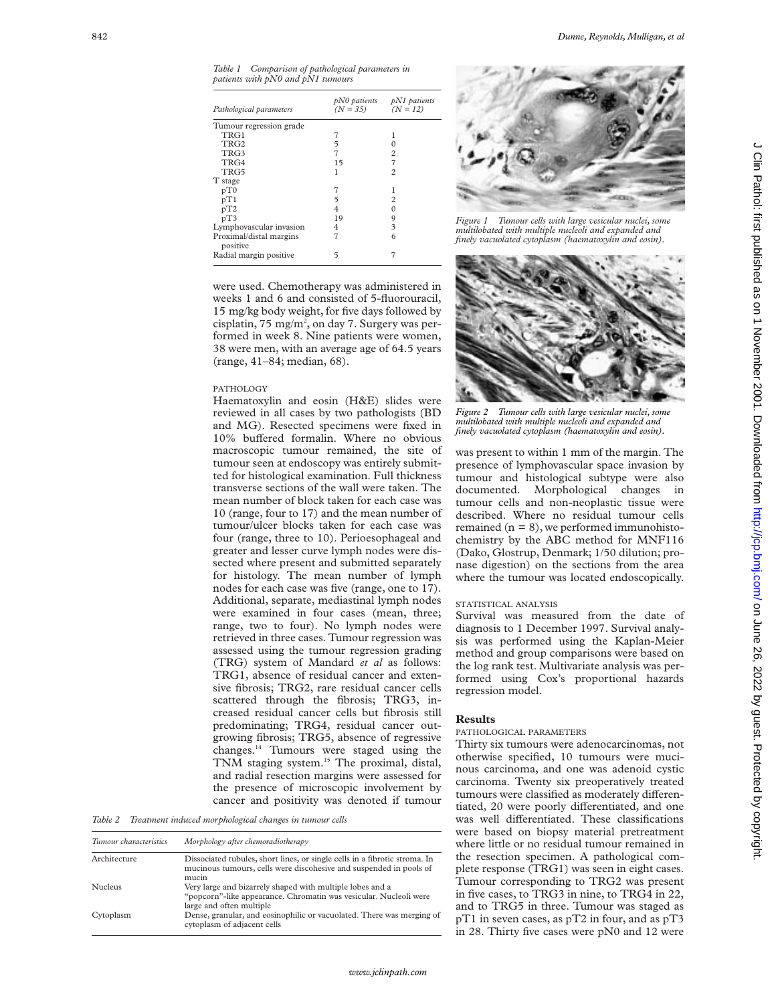*Table 1 Comparison of pathological parameters in patients with pN0 and pN1 tumours*

| Pathological parameters             | pN0 patients<br>$(N = 35)$ | $pN1$ patients<br>$(N = 12)$ |
|-------------------------------------|----------------------------|------------------------------|
| Tumour regression grade             |                            |                              |
| TRG1                                |                            |                              |
| TRG <sub>2</sub>                    | 5                          |                              |
| TRG3                                | 7                          | 2                            |
| TRG4                                | 15                         | 7                            |
| TRG5                                | 1                          | $\overline{c}$               |
| T stage                             |                            |                              |
| pT0                                 |                            |                              |
| pT1                                 | 5                          | $\overline{c}$               |
| pT2                                 | 4                          |                              |
| pT3                                 | 19                         | 9                            |
| Lymphovascular invasion             | 4                          | 3                            |
| Proximal/distal margins<br>positive | 7                          | 6                            |
| Radial margin positive              | 5                          |                              |

were used. Chemotherapy was administered in weeks 1 and 6 and consisted of 5-fluorouracil, 15 mg/kg body weight, for five days followed by cisplatin,  $75 \text{ mg/m}^2$ , on day 7. Surgery was performed in week 8. Nine patients were women, 38 were men, with an average age of 64.5 years (range, 41–84; median, 68).

## PATHOLOGY

Haematoxylin and eosin (H&E) slides were reviewed in all cases by two pathologists (BD and MG). Resected specimens were fixed in 10% buffered formalin. Where no obvious macroscopic tumour remained, the site of tumour seen at endoscopy was entirely submitted for histological examination. Full thickness transverse sections of the wall were taken. The mean number of block taken for each case was 10 (range, four to 17) and the mean number of tumour/ulcer blocks taken for each case was four (range, three to 10). Perioesophageal and greater and lesser curve lymph nodes were dissected where present and submitted separately for histology. The mean number of lymph nodes for each case was five (range, one to 17). Additional, separate, mediastinal lymph nodes were examined in four cases (mean, three; range, two to four). No lymph nodes were retrieved in three cases. Tumour regression was assessed using the tumour regression grading (TRG) system of Mandard *et al* as follows: TRG1, absence of residual cancer and extensive fibrosis; TRG2, rare residual cancer cells scattered through the fibrosis; TRG3, increased residual cancer cells but fibrosis still predominating; TRG4, residual cancer outgrowing fibrosis; TRG5, absence of regressive changes.14 Tumours were staged using the TNM staging system.15 The proximal, distal, and radial resection margins were assessed for the presence of microscopic involvement by cancer and positivity was denoted if tumour

*Table 2 Treatment induced morphological changes in tumour cells*

| Tumour characteristics | Morphology after chemoradiotherapy                                                                                                                         |
|------------------------|------------------------------------------------------------------------------------------------------------------------------------------------------------|
| Architecture           | Dissociated tubules, short lines, or single cells in a fibrotic stroma. In<br>mucinous tumours, cells were discohesive and suspended in pools of<br>mucin  |
| <b>Nucleus</b>         | Very large and bizarrely shaped with multiple lobes and a<br>"popcorn"-like appearance. Chromatin was vesicular. Nucleoli were<br>large and often multiple |
| Cytoplasm              | Dense, granular, and eosinophilic or vacuolated. There was merging of<br>cytoplasm of adjacent cells                                                       |



*Figure 1 Tumour cells with large vesicular nuclei, some multilobated with multiple nucleoli and expanded and finely vacuolated cytoplasm (haematoxylin and eosin).*



*Figure 2 Tumour cells with large vesicular nuclei, some multilobated with multiple nucleoli and expanded and finely vacuolated cytoplasm (haematoxylin and eosin).*

was present to within 1 mm of the margin. The presence of lymphovascular space invasion by tumour and histological subtype were also documented. Morphological changes in tumour cells and non-neoplastic tissue were described. Where no residual tumour cells remained  $(n = 8)$ , we performed immunohistochemistry by the ABC method for MNF116 (Dako, Glostrup, Denmark; 1/50 dilution; pronase digestion) on the sections from the area where the tumour was located endoscopically.

#### STATISTICAL ANALYSIS

Survival was measured from the date of diagnosis to 1 December 1997. Survival analysis was performed using the Kaplan-Meier method and group comparisons were based on the log rank test. Multivariate analysis was performed using Cox's proportional hazards regression model.

### **Results**

### PATHOLOGICAL PARAMETERS

Thirty six tumours were adenocarcinomas, not otherwise specified, 10 tumours were mucinous carcinoma, and one was adenoid cystic carcinoma. Twenty six preoperatively treated tumours were classified as moderately differentiated, 20 were poorly differentiated, and one was well differentiated. These classifications were based on biopsy material pretreatment where little or no residual tumour remained in the resection specimen. A pathological complete response (TRG1) was seen in eight cases. Tumour corresponding to TRG2 was present in five cases, to TRG3 in nine, to TRG4 in 22, and to TRG5 in three. Tumour was staged as pT1 in seven cases, as pT2 in four, and as pT3 in 28. Thirty five cases were pN0 and 12 were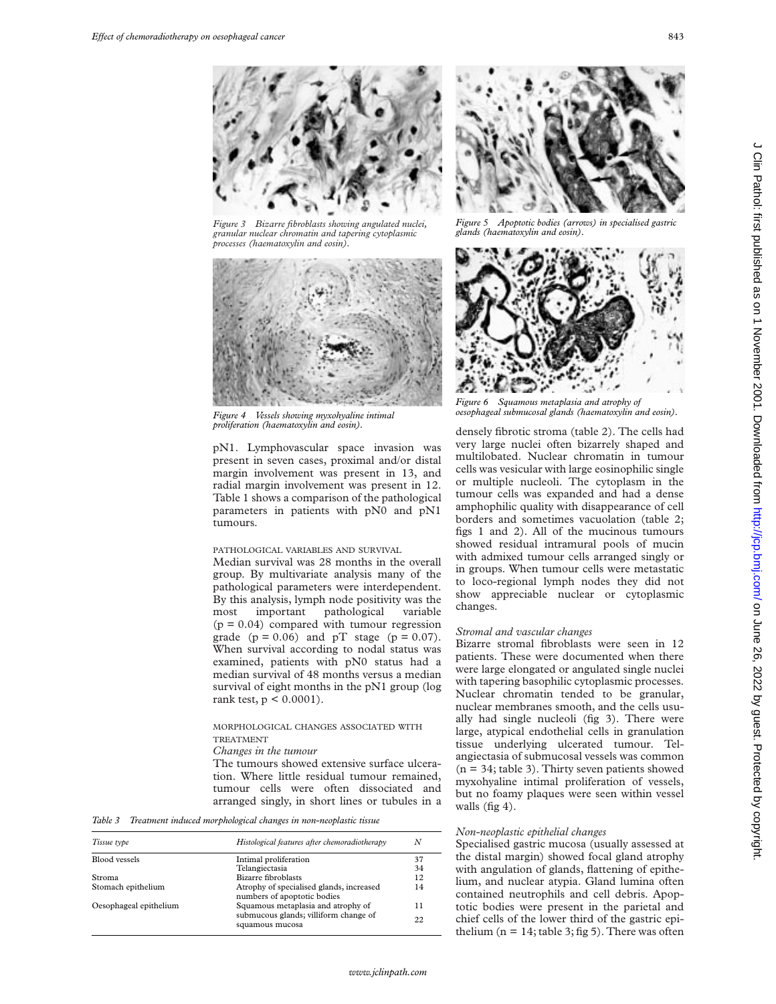

*Figure 3 Bizarre fibroblasts showing angulated nuclei, granular nuclear chromatin and tapering cytoplasmic processes (haematoxylin and eosin).*



*Figure 4 Vessels showing myxohyaline intimal proliferation (haematoxylin and eosin).*

pN1. Lymphovascular space invasion was present in seven cases, proximal and/or distal margin involvement was present in 13, and radial margin involvement was present in 12. Table 1 shows a comparison of the pathological parameters in patients with pN0 and pN1 tumours.

# PATHOLOGICAL VARIABLES AND SURVIVAL

Median survival was 28 months in the overall group. By multivariate analysis many of the pathological parameters were interdependent. By this analysis, lymph node positivity was the most important pathological variable  $(p = 0.04)$  compared with tumour regression grade  $(p = 0.06)$  and pT stage  $(p = 0.07)$ . When survival according to nodal status was examined, patients with pN0 status had a median survival of 48 months versus a median survival of eight months in the pN1 group (log rank test,  $p < 0.0001$ ).

# MORPHOLOGICAL CHANGES ASSOCIATED WITH TREATMENT

*Changes in the tumour*

The tumours showed extensive surface ulceration. Where little residual tumour remained, tumour cells were often dissociated and arranged singly, in short lines or tubules in a

*Table 3 Treatment induced morphological changes in non-neoplastic tissue*

| Histological features after chemoradiotherapy<br>Tissue type |                                                                         | N   |  |
|--------------------------------------------------------------|-------------------------------------------------------------------------|-----|--|
| Blood vessels                                                | Intimal proliferation                                                   | 37  |  |
|                                                              | Telangiectasia                                                          | 34  |  |
| Stroma                                                       | Bizarre fibroblasts                                                     | 12  |  |
| Stomach epithelium                                           | Atrophy of specialised glands, increased<br>numbers of apoptotic bodies | 14  |  |
| Oesophageal epithelium                                       | Squamous metaplasia and atrophy of                                      | 11  |  |
|                                                              | submucous glands; villiform change of<br>squamous mucosa                | 22. |  |



*Figure 5 Apoptotic bodies (arrows) in specialised gastric glands (haematoxylin and eosin).*



*Figure 6 Squamous metaplasia and atrophy of oesophageal submucosal glands (haematoxylin and eosin).*

densely fibrotic stroma (table 2). The cells had very large nuclei often bizarrely shaped and multilobated. Nuclear chromatin in tumour cells was vesicular with large eosinophilic single or multiple nucleoli. The cytoplasm in the tumour cells was expanded and had a dense amphophilic quality with disappearance of cell borders and sometimes vacuolation (table 2; figs 1 and 2). All of the mucinous tumours showed residual intramural pools of mucin with admixed tumour cells arranged singly or in groups. When tumour cells were metastatic to loco-regional lymph nodes they did not show appreciable nuclear or cytoplasmic changes.

#### *Stromal and vascular changes*

Bizarre stromal fibroblasts were seen in 12 patients. These were documented when there were large elongated or angulated single nuclei with tapering basophilic cytoplasmic processes. Nuclear chromatin tended to be granular, nuclear membranes smooth, and the cells usually had single nucleoli (fig 3). There were large, atypical endothelial cells in granulation tissue underlying ulcerated tumour. Telangiectasia of submucosal vessels was common  $(n = 34;$  table 3). Thirty seven patients showed myxohyaline intimal proliferation of vessels, but no foamy plaques were seen within vessel walls (fig 4).

#### *Non-neoplastic epithelial changes*

Specialised gastric mucosa (usually assessed at the distal margin) showed focal gland atrophy with angulation of glands, flattening of epithelium, and nuclear atypia. Gland lumina often contained neutrophils and cell debris. Apoptotic bodies were present in the parietal and chief cells of the lower third of the gastric epithelium ( $n = 14$ ; table 3; fig 5). There was often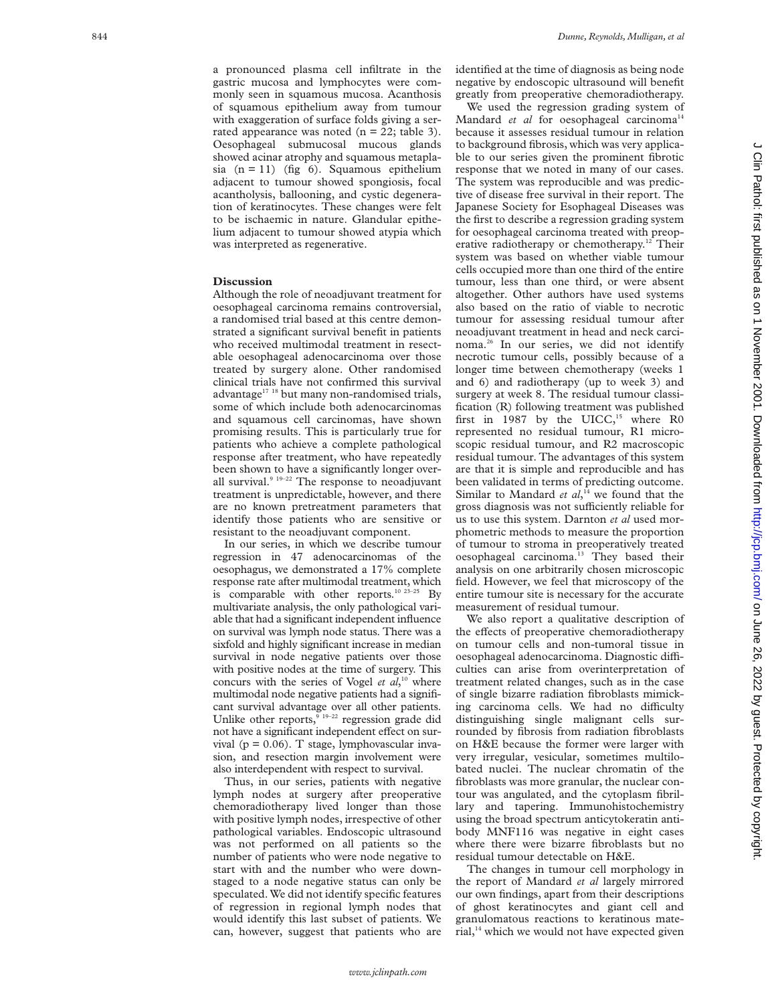a pronounced plasma cell infiltrate in the gastric mucosa and lymphocytes were commonly seen in squamous mucosa. Acanthosis of squamous epithelium away from tumour with exaggeration of surface folds giving a serrated appearance was noted  $(n = 22;$  table 3). Oesophageal submucosal mucous glands showed acinar atrophy and squamous metaplasia  $(n = 11)$  (fig 6). Squamous epithelium adjacent to tumour showed spongiosis, focal acantholysis, ballooning, and cystic degeneration of keratinocytes. These changes were felt to be ischaemic in nature. Glandular epithelium adjacent to tumour showed atypia which was interpreted as regenerative.

# **Discussion**

Although the role of neoadjuvant treatment for oesophageal carcinoma remains controversial, a randomised trial based at this centre demonstrated a significant survival benefit in patients who received multimodal treatment in resectable oesophageal adenocarcinoma over those treated by surgery alone. Other randomised clinical trials have not confirmed this survival advantage<sup>17</sup><sup>18</sup> but many non-randomised trials, some of which include both adenocarcinomas and squamous cell carcinomas, have shown promising results. This is particularly true for patients who achieve a complete pathological response after treatment, who have repeatedly been shown to have a significantly longer overall survival. $9^{19-22}$  The response to neoadjuvant treatment is unpredictable, however, and there are no known pretreatment parameters that identify those patients who are sensitive or resistant to the neoadjuvant component.

In our series, in which we describe tumour regression in 47 adenocarcinomas of the oesophagus, we demonstrated a 17% complete response rate after multimodal treatment, which is comparable with other reports.<sup>10 23-25</sup> By multivariate analysis, the only pathological variable that had a significant independent influence on survival was lymph node status. There was a sixfold and highly significant increase in median survival in node negative patients over those with positive nodes at the time of surgery. This concurs with the series of Vogel *et al*, <sup>10</sup> where multimodal node negative patients had a significant survival advantage over all other patients. Unlike other reports, $9^{19-22}$  regression grade did not have a significant independent effect on survival ( $p = 0.06$ ). T stage, lymphovascular invasion, and resection margin involvement were also interdependent with respect to survival.

Thus, in our series, patients with negative lymph nodes at surgery after preoperative chemoradiotherapy lived longer than those with positive lymph nodes, irrespective of other pathological variables. Endoscopic ultrasound was not performed on all patients so the number of patients who were node negative to start with and the number who were downstaged to a node negative status can only be speculated. We did not identify specific features of regression in regional lymph nodes that would identify this last subset of patients. We can, however, suggest that patients who are identified at the time of diagnosis as being node negative by endoscopic ultrasound will benefit greatly from preoperative chemoradiotherapy.

We used the regression grading system of Mandard et al for oesophageal carcinoma<sup>14</sup> because it assesses residual tumour in relation to background fibrosis, which was very applicable to our series given the prominent fibrotic response that we noted in many of our cases. The system was reproducible and was predictive of disease free survival in their report. The Japanese Society for Esophageal Diseases was the first to describe a regression grading system for oesophageal carcinoma treated with preoperative radiotherapy or chemotherapy.<sup>12</sup> Their system was based on whether viable tumour cells occupied more than one third of the entire tumour, less than one third, or were absent altogether. Other authors have used systems also based on the ratio of viable to necrotic tumour for assessing residual tumour after neoadjuvant treatment in head and neck carcinoma.26 In our series, we did not identify necrotic tumour cells, possibly because of a longer time between chemotherapy (weeks 1 and 6) and radiotherapy (up to week 3) and surgery at week 8. The residual tumour classification (R) following treatment was published first in 1987 by the UICC, $15$  where R0 represented no residual tumour, R1 microscopic residual tumour, and R2 macroscopic residual tumour. The advantages of this system are that it is simple and reproducible and has been validated in terms of predicting outcome. Similar to Mandard *et al*,<sup>14</sup> we found that the gross diagnosis was not sufficiently reliable for us to use this system. Darnton *et al* used morphometric methods to measure the proportion of tumour to stroma in preoperatively treated oesophageal carcinoma.<sup>13</sup> They based their analysis on one arbitrarily chosen microscopic field. However, we feel that microscopy of the entire tumour site is necessary for the accurate measurement of residual tumour.

We also report a qualitative description of the effects of preoperative chemoradiotherapy on tumour cells and non-tumoral tissue in oesophageal adenocarcinoma. Diagnostic difficulties can arise from overinterpretation of treatment related changes, such as in the case of single bizarre radiation fibroblasts mimicking carcinoma cells. We had no difficulty distinguishing single malignant cells surrounded by fibrosis from radiation fibroblasts on H&E because the former were larger with very irregular, vesicular, sometimes multilobated nuclei. The nuclear chromatin of the fibroblasts was more granular, the nuclear contour was angulated, and the cytoplasm fibrillary and tapering. Immunohistochemistry using the broad spectrum anticytokeratin antibody MNF116 was negative in eight cases where there were bizarre fibroblasts but no residual tumour detectable on H&E.

The changes in tumour cell morphology in the report of Mandard *et al* largely mirrored our own findings, apart from their descriptions of ghost keratinocytes and giant cell and granulomatous reactions to keratinous material,<sup>14</sup> which we would not have expected given